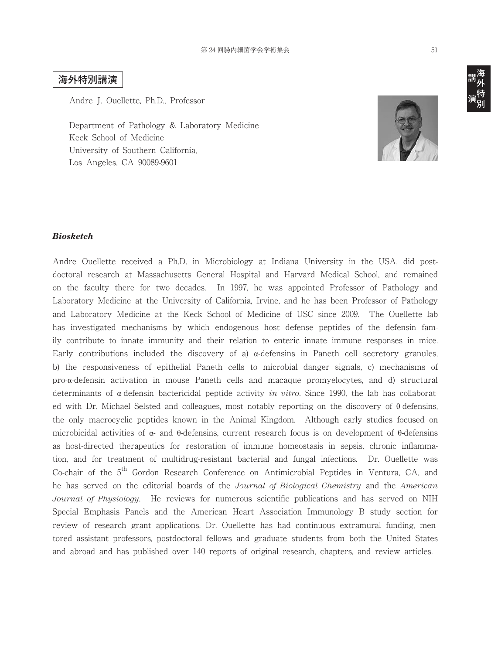## **海外特別講演**

Andre J. Ouellette, Ph.D., Professor

Department of Pathology & Laboratory Medicine Keck School of Medicine University of Southern California, Los Angeles, CA 90089-9601



## *Biosketch*

Andre Ouellette received a Ph.D. in Microbiology at Indiana University in the USA, did postdoctoral research at Massachusetts General Hospital and Harvard Medical School, and remained on the faculty there for two decades. In 1997, he was appointed Professor of Pathology and Laboratory Medicine at the University of California, Irvine, and he has been Professor of Pathology and Laboratory Medicine at the Keck School of Medicine of USC since 2009. The Ouellette lab has investigated mechanisms by which endogenous host defense peptides of the defensin family contribute to innate immunity and their relation to enteric innate immune responses in mice. Early contributions included the discovery of a)  $\alpha$ -defensins in Paneth cell secretory granules, b) the responsiveness of epithelial Paneth cells to microbial danger signals, c) mechanisms of pro-α-defensin activation in mouse Paneth cells and macaque promyelocytes, and d) structural determinants of α-defensin bactericidal peptide activity *in vitro*. Since 1990, the lab has collaborated with Dr. Michael Selsted and colleagues, most notably reporting on the discovery of θ-defensins, the only macrocyclic peptides known in the Animal Kingdom. Although early studies focused on microbicidal activities of  $\alpha$ - and  $\theta$ -defensins, current research focus is on development of  $\theta$ -defensins as host-directed therapeutics for restoration of immune homeostasis in sepsis, chronic inflammation, and for treatment of multidrug-resistant bacterial and fungal infections. Dr. Ouellette was Co-chair of the 5<sup>th</sup> Gordon Research Conference on Antimicrobial Peptides in Ventura, CA, and he has served on the editorial boards of the *Journal of Biological Chemistry* and the *American Journal of Physiology*. He reviews for numerous scientific publications and has served on NIH Special Emphasis Panels and the American Heart Association Immunology B study section for review of research grant applications. Dr. Ouellette has had continuous extramural funding, mentored assistant professors, postdoctoral fellows and graduate students from both the United States and abroad and has published over 140 reports of original research, chapters, and review articles.